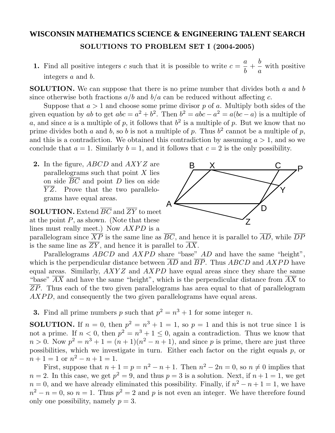## **WISCONSIN MATHEMATICS SCIENCE & ENGINEERING TALENT SEARCH SOLUTIONS TO PROBLEM SET I (2004-2005)**

**1.** Find all positive integers *c* such that it is possible to write  $c = \frac{a}{b}$  $\frac{a}{b}$  + *b a* with positive integers *a* and *b*.

**SOLUTION.** We can suppose that there is no prime number that divides both *a* and *b* since otherwise both fractions  $a/b$  and  $b/a$  can be reduced without affecting *c*.

Suppose that  $a > 1$  and choose some prime divisor p of a. Multiply both sides of the given equation by *ab* to get  $abc = a^2 + b^2$ . Then  $b^2 = abc - a^2 = a(bc - a)$  is a multiple of *a*, and since *a* is a multiple of *p*, it follows that  $b^2$  is a multiple of *p*. But we know that no prime divides both *a* and *b*, so *b* is not a multiple of *p*. Thus  $b^2$  cannot be a multiple of *p*, and this is a contradiction. We obtained this contradiction by assuming  $a > 1$ , and so we conclude that  $a = 1$ . Similarly  $b = 1$ , and it follows that  $c = 2$  is the only possibility.

**2.** In the figure, *ABCD* and *AXY Z* are parallelograms such that point *X* lies on side *BC* and point *D* lies on side *Y Z*. Prove that the two parallelograms have equal areas.

**SOLUTION.** Extend *BC* and *ZY* to meet at the point *P*, as shown. (Note that these lines must really meet.) Now *AXPD* is a



parallelogram since  $\overline{XP}$  is the same line as  $\overline{BC}$ , and hence it is parallel to  $\overline{AD}$ , while  $\overline{DP}$ is the same line as  $\overline{ZY}$ , and hence it is parallel to  $\overline{AX}$ .

Parallelograms *ABCD* and *AXPD* share "base" *AD* and have the same "height", which is the perpendicular distance between *AD* and *BP*. Thus *ABCD* and *AXPD* have equal areas. Similarly, *AXY Z* and *AXPD* have equal areas since they share the same "base"  $\overline{AX}$  and have the same "height", which is the perpendicular distance from  $\overline{AX}$  to *ZP*. Thus each of the two given parallelograms has area equal to that of parallelogram *AXPD*, and consequently the two given parallelograms have equal areas.

**3.** Find all prime numbers *p* such that  $p^2 = n^3 + 1$  for some integer *n*.

**SOLUTION.** If  $n = 0$ , then  $p^2 = n^3 + 1 = 1$ , so  $p = 1$  and this is not true since 1 is not a prime. If  $n < 0$ , then  $p^2 = n^3 + 1 \le 0$ , again a contradiction. Thus we know that  $n > 0$ . Now  $p^2 = n^3 + 1 = (n + 1)(n^2 - n + 1)$ , and since *p* is prime, there are just three possibilities, which we investigate in turn. Either each factor on the right equals *p*, or  $n+1=1$  or  $n^2-n+1=1$ .

First, suppose that  $n + 1 = p = n^2 - n + 1$ . Then  $n^2 - 2n = 0$ , so  $n \neq 0$  implies that  $n = 2$ . In this case, we get  $p^2 = 9$ , and thus  $p = 3$  is a solution. Next, if  $n + 1 = 1$ , we get  $n = 0$ , and we have already eliminated this possibility. Finally, if  $n^2 - n + 1 = 1$ , we have  $n^2 - n = 0$ , so  $n = 1$ . Thus  $p^2 = 2$  and p is not even an integer. We have therefore found only one possibility, namely  $p = 3$ .